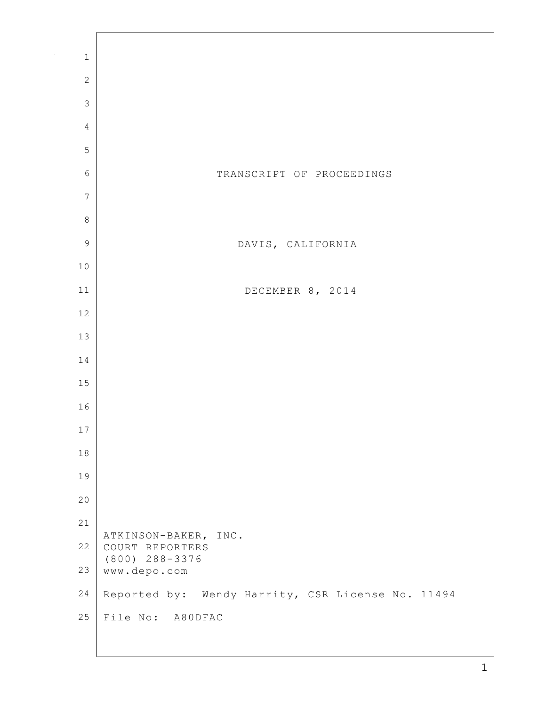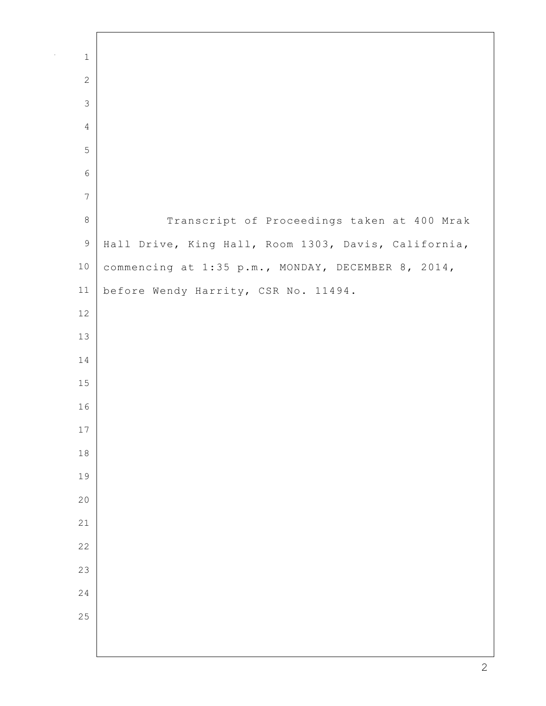| $\mathbf 1$    |                                                      |
|----------------|------------------------------------------------------|
| $\mathbf{2}$   |                                                      |
| $\mathfrak{Z}$ |                                                      |
| $\overline{4}$ |                                                      |
| 5              |                                                      |
| $\epsilon$     |                                                      |
| $\overline{7}$ |                                                      |
| $\,8\,$        | Transcript of Proceedings taken at 400 Mrak          |
| $\mathsf 9$    | Hall Drive, King Hall, Room 1303, Davis, California, |
| $10$           | commencing at 1:35 p.m., MONDAY, DECEMBER 8, 2014,   |
| 11             | before Wendy Harrity, CSR No. 11494.                 |
| 12             |                                                      |
| 13             |                                                      |
| 14             |                                                      |
| 15             |                                                      |
| 16             |                                                      |
| $17$           |                                                      |
| $1\,8$         |                                                      |
| 19             |                                                      |
| 20             |                                                      |
| 21             |                                                      |
| 22             |                                                      |
| 23             |                                                      |
| 24             |                                                      |
| 25             |                                                      |
|                |                                                      |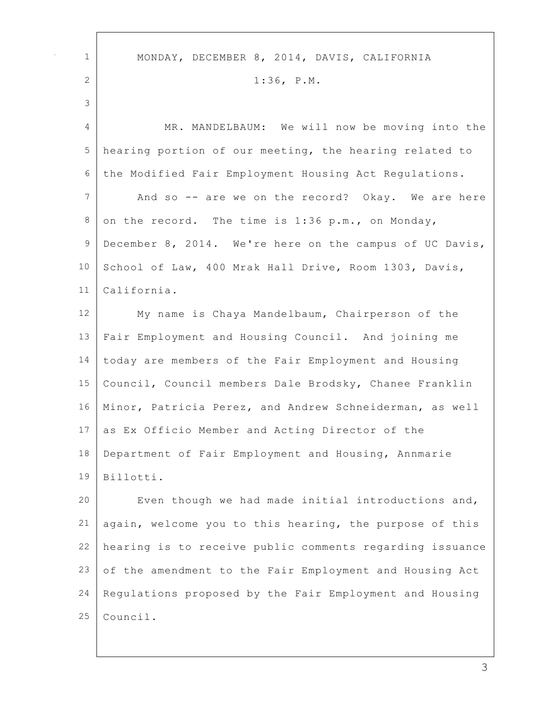| $\mathbf{1}$   | MONDAY, DECEMBER 8, 2014, DAVIS, CALIFORNIA              |
|----------------|----------------------------------------------------------|
| $\overline{2}$ | $1:36$ , $P.M.$                                          |
| 3              |                                                          |
| 4              | MR. MANDELBAUM: We will now be moving into the           |
|                |                                                          |
| 5              | hearing portion of our meeting, the hearing related to   |
| 6              | the Modified Fair Employment Housing Act Regulations.    |
| 7              | And so -- are we on the record? Okay. We are here        |
| 8              | on the record. The time is 1:36 p.m., on Monday,         |
| 9              | December 8, 2014. We're here on the campus of UC Davis,  |
| 10             | School of Law, 400 Mrak Hall Drive, Room 1303, Davis,    |
| 11             | California.                                              |
| 12             | My name is Chaya Mandelbaum, Chairperson of the          |
| 13             | Fair Employment and Housing Council. And joining me      |
| 14             | today are members of the Fair Employment and Housing     |
| 15             | Council, Council members Dale Brodsky, Chanee Franklin   |
| 16             | Minor, Patricia Perez, and Andrew Schneiderman, as well  |
| 17             | as Ex Officio Member and Acting Director of the          |
| 18             | Department of Fair Employment and Housing, Annmarie      |
| 19             | Billotti.                                                |
| 20             | Even though we had made initial introductions and,       |
| 21             | again, welcome you to this hearing, the purpose of this  |
| 22             | hearing is to receive public comments regarding issuance |
| 23             | of the amendment to the Fair Employment and Housing Act  |
| 24             | Regulations proposed by the Fair Employment and Housing  |
| 25             | Council.                                                 |
|                |                                                          |

 $\Gamma$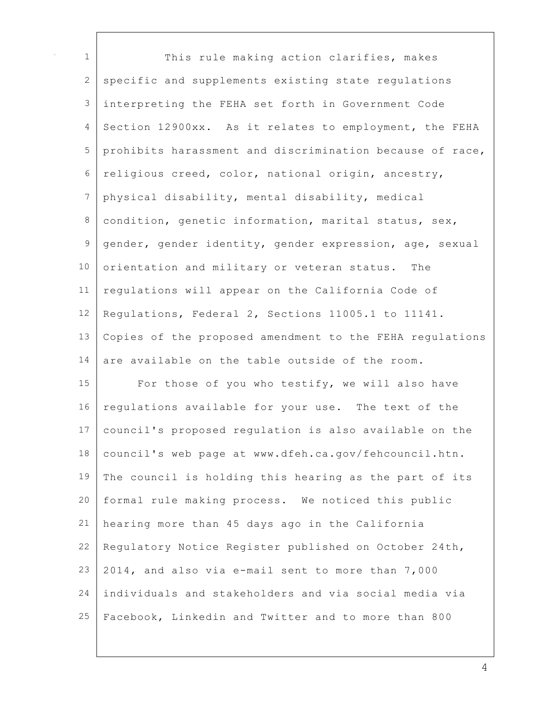| $\mathbf 1$ | This rule making action clarifies, makes                 |
|-------------|----------------------------------------------------------|
| 2           | specific and supplements existing state regulations      |
| 3           | interpreting the FEHA set forth in Government Code       |
| 4           | Section 12900xx. As it relates to employment, the FEHA   |
| 5           | prohibits harassment and discrimination because of race, |
| 6           | religious creed, color, national origin, ancestry,       |
| 7           | physical disability, mental disability, medical          |
| 8           | condition, genetic information, marital status, sex,     |
| $\mathsf 9$ | gender, gender identity, gender expression, age, sexual  |
| 10          | orientation and military or veteran status. The          |
| 11          | regulations will appear on the California Code of        |
| 12          | Regulations, Federal 2, Sections 11005.1 to 11141.       |
| 13          | Copies of the proposed amendment to the FEHA regulations |
| 14          | are available on the table outside of the room.          |
| 15          | For those of you who testify, we will also have          |
| 16          | regulations available for your use. The text of the      |
| 17          | council's proposed regulation is also available on the   |
| 18          | council's web page at www.dfeh.ca.gov/fehcouncil.htn.    |
| 19          | The council is holding this hearing as the part of its   |
| 20          | formal rule making process. We noticed this public       |
| 21          | hearing more than 45 days ago in the California          |
| 22          | Regulatory Notice Register published on October 24th,    |
| 23          | 2014, and also via e-mail sent to more than 7,000        |
| 24          | individuals and stakeholders and via social media via    |
| 25          | Facebook, Linkedin and Twitter and to more than 800      |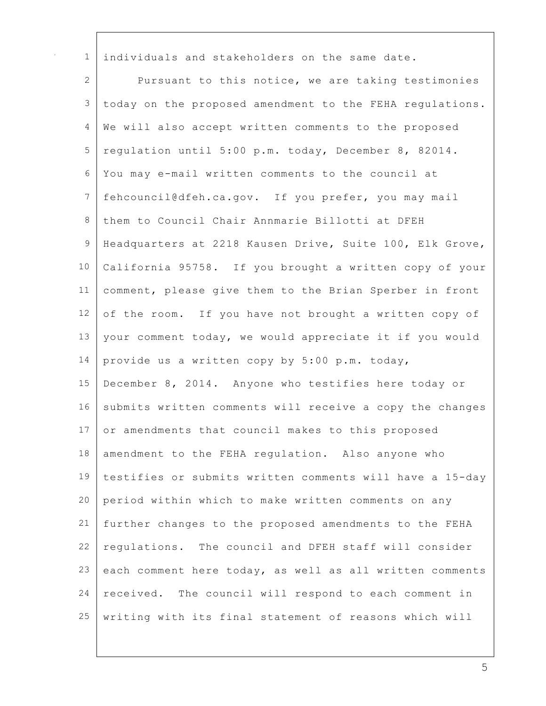| $\mathbf{1}$ | individuals and stakeholders on the same date.           |
|--------------|----------------------------------------------------------|
| 2            | Pursuant to this notice, we are taking testimonies       |
| 3            | today on the proposed amendment to the FEHA regulations. |
| 4            | We will also accept written comments to the proposed     |
| 5            | regulation until 5:00 p.m. today, December 8, 82014.     |
| 6            | You may e-mail written comments to the council at        |
| 7            | fehcouncil@dfeh.ca.gov. If you prefer, you may mail      |
| 8            | them to Council Chair Annmarie Billotti at DFEH          |
| 9            | Headquarters at 2218 Kausen Drive, Suite 100, Elk Grove, |
| 10           | California 95758. If you brought a written copy of your  |
| 11           | comment, please give them to the Brian Sperber in front  |
| 12           | of the room. If you have not brought a written copy of   |
| 13           | your comment today, we would appreciate it if you would  |
| 14           | provide us a written copy by 5:00 p.m. today,            |
| 15           | December 8, 2014. Anyone who testifies here today or     |
| 16           | submits written comments will receive a copy the changes |
| 17           | or amendments that council makes to this proposed        |
| 18           | amendment to the FEHA regulation. Also anyone who        |
| 19           | testifies or submits written comments will have a 15-day |
| 20           | period within which to make written comments on any      |
| 21           | further changes to the proposed amendments to the FEHA   |
| 22           | regulations. The council and DFEH staff will consider    |
| 23           | each comment here today, as well as all written comments |
| 24           | received. The council will respond to each comment in    |
| 25           | writing with its final statement of reasons which will   |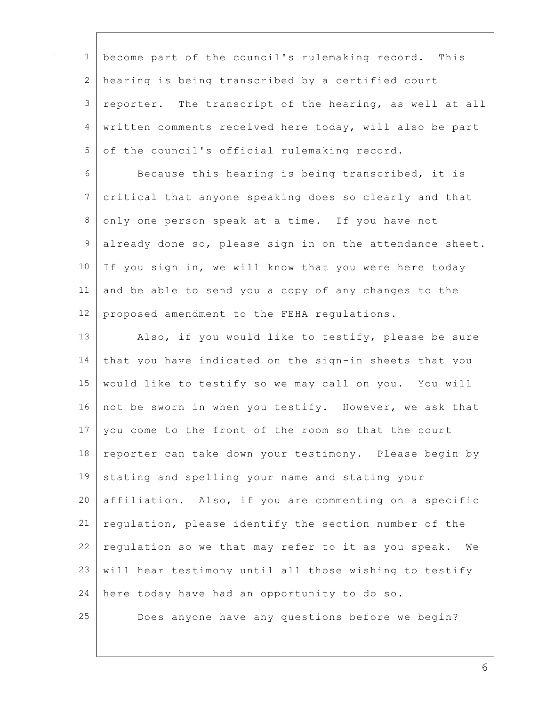| $\mathbf{1}$    | become part of the council's rulemaking record. This     |
|-----------------|----------------------------------------------------------|
| 2               | hearing is being transcribed by a certified court        |
| $\mathfrak{Z}$  | reporter. The transcript of the hearing, as well at all  |
| 4               | written comments received here today, will also be part  |
| 5               | of the council's official rulemaking record.             |
| 6               | Because this hearing is being transcribed, it is         |
| $7\phantom{.0}$ | critical that anyone speaking does so clearly and that   |
| 8               | only one person speak at a time. If you have not         |
| 9               | already done so, please sign in on the attendance sheet. |
| 10              | If you sign in, we will know that you were here today    |
| 11              | and be able to send you a copy of any changes to the     |
| 12              | proposed amendment to the FEHA regulations.              |
| 13              | Also, if you would like to testify, please be sure       |
| 14              | that you have indicated on the sign-in sheets that you   |
| 15              | would like to testify so we may call on you. You will    |
| 16              | not be sworn in when you testify. However, we ask that   |
| 17              | you come to the front of the room so that the court      |
| 18              | reporter can take down your testimony. Please begin by   |
| 19              | stating and spelling your name and stating your          |
| 20              | affiliation. Also, if you are commenting on a specific   |
| 21              | regulation, please identify the section number of the    |
| 22              | regulation so we that may refer to it as you speak. We   |
| 23              | will hear testimony until all those wishing to testify   |
| 24              | here today have had an opportunity to do so.             |
| 25              | Does anyone have any questions before we begin?          |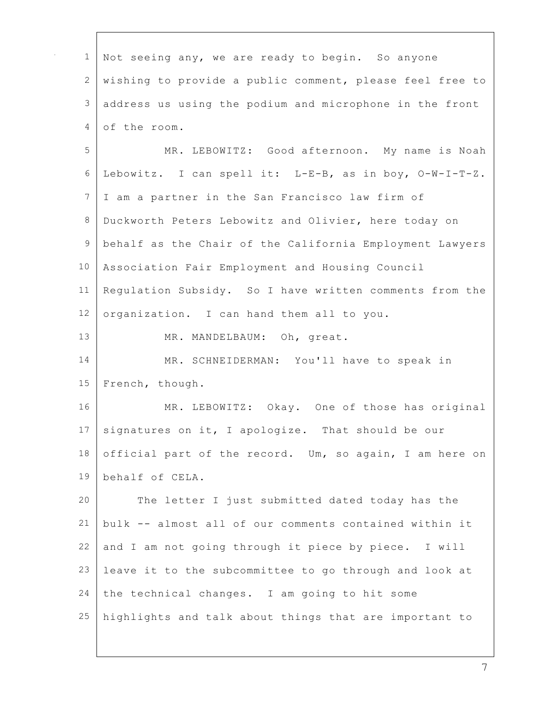| $\mathbf 1$     | Not seeing any, we are ready to begin. So anyone         |
|-----------------|----------------------------------------------------------|
| 2               | wishing to provide a public comment, please feel free to |
| $\mathfrak{Z}$  |                                                          |
|                 | address us using the podium and microphone in the front  |
| 4               | of the room.                                             |
| 5               | MR. LEBOWITZ: Good afternoon. My name is Noah            |
| 6               | Lebowitz. I can spell it: L-E-B, as in boy, O-W-I-T-Z.   |
| 7               | I am a partner in the San Francisco law firm of          |
| $\,8\,$         | Duckworth Peters Lebowitz and Olivier, here today on     |
| $\mathsf 9$     | behalf as the Chair of the California Employment Lawyers |
| 10              | Association Fair Employment and Housing Council          |
| 11              | Regulation Subsidy. So I have written comments from the  |
| 12              | organization. I can hand them all to you.                |
| 13              | MR. MANDELBAUM: Oh, great.                               |
| 14              | MR. SCHNEIDERMAN: You'll have to speak in                |
| 15              | French, though.                                          |
| 16              | MR. LEBOWITZ: Okay. One of those has original            |
| 17 <sup>1</sup> | signatures on it, I apologize. That should be our        |
| 18              | official part of the record. Um, so again, I am here on  |
| 19              | behalf of CELA.                                          |
| 20              | The letter I just submitted dated today has the          |
| 21              | bulk -- almost all of our comments contained within it   |
| 22              | and I am not going through it piece by piece. I will     |
| 23              | leave it to the subcommittee to go through and look at   |
| 24              | the technical changes. I am going to hit some            |
| 25              | highlights and talk about things that are important to   |
|                 |                                                          |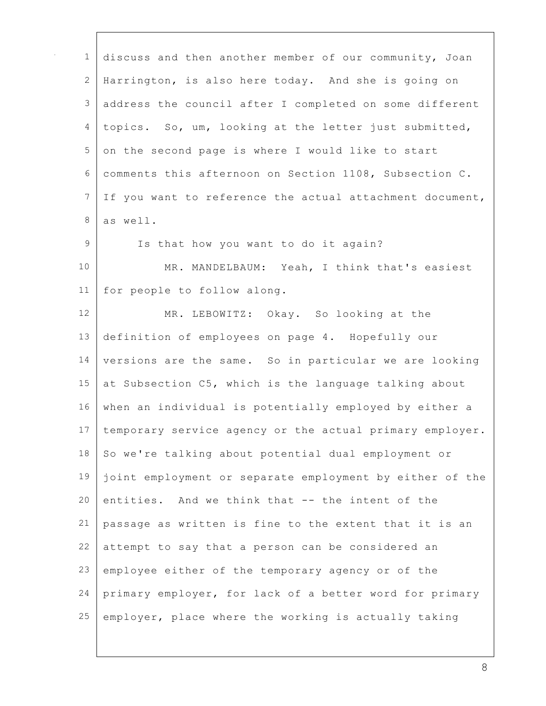| $\mathbf{1}$ | discuss and then another member of our community, Joan   |
|--------------|----------------------------------------------------------|
| $\mathbf{2}$ | Harrington, is also here today. And she is going on      |
| 3            | address the council after I completed on some different  |
| 4            | topics. So, um, looking at the letter just submitted,    |
| 5            | on the second page is where I would like to start        |
| 6            | comments this afternoon on Section 1108, Subsection C.   |
| 7            | If you want to reference the actual attachment document, |
| 8            | as well.                                                 |
| 9            | Is that how you want to do it again?                     |
| 10           | MR. MANDELBAUM: Yeah, I think that's easiest             |
| 11           | for people to follow along.                              |
| 12           | MR. LEBOWITZ: Okay. So looking at the                    |
| 13           | definition of employees on page 4. Hopefully our         |
| 14           | versions are the same. So in particular we are looking   |
| 15           | at Subsection C5, which is the language talking about    |
| 16           | when an individual is potentially employed by either a   |
| 17           | temporary service agency or the actual primary employer. |
| 18           | So we're talking about potential dual employment or      |
| 19           | joint employment or separate employment by either of the |
| 20           | entities. And we think that -- the intent of the         |
| 21           | passage as written is fine to the extent that it is an   |
| 22           | attempt to say that a person can be considered an        |
| 23           | employee either of the temporary agency or of the        |
| 24           | primary employer, for lack of a better word for primary  |
| 25           | employer, place where the working is actually taking     |
|              |                                                          |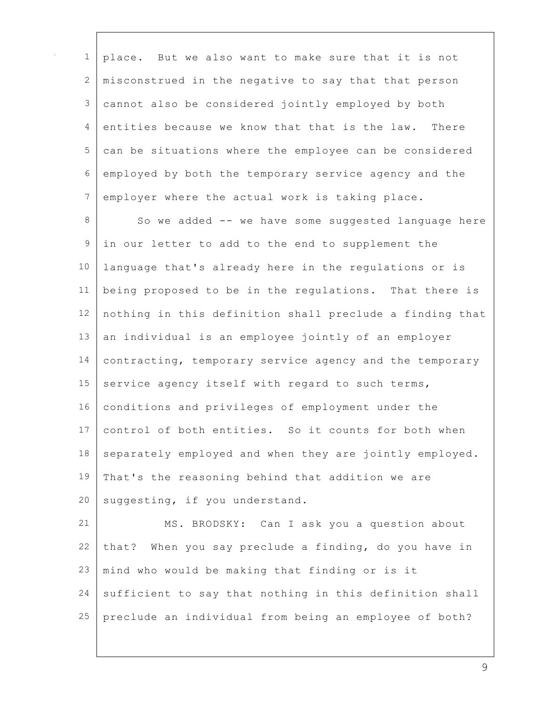| $\mathbf{1}$  | place. But we also want to make sure that it is not      |
|---------------|----------------------------------------------------------|
| 2             | misconstrued in the negative to say that that person     |
| 3             | cannot also be considered jointly employed by both       |
| 4             | entities because we know that that is the law. There     |
| 5             | can be situations where the employee can be considered   |
| 6             | employed by both the temporary service agency and the    |
| 7             | employer where the actual work is taking place.          |
| $8\,$         | So we added -- we have some suggested language here      |
| $\mathcal{G}$ | in our letter to add to the end to supplement the        |
| 10            | language that's already here in the regulations or is    |
| 11            | being proposed to be in the regulations. That there is   |
| 12            | nothing in this definition shall preclude a finding that |
| 13            | an individual is an employee jointly of an employer      |
| 14            | contracting, temporary service agency and the temporary  |
| 15            | service agency itself with regard to such terms,         |
| 16            | conditions and privileges of employment under the        |
| 17            | control of both entities. So it counts for both when     |
| 18            | separately employed and when they are jointly employed.  |
| 19            | That's the reasoning behind that addition we are         |
| 20            | suggesting, if you understand.                           |
| 21            | MS. BRODSKY: Can I ask you a question about              |
| 22            | that? When you say preclude a finding, do you have in    |
| 23            | mind who would be making that finding or is it           |
| 24            | sufficient to say that nothing in this definition shall  |
| 25            | preclude an individual from being an employee of both?   |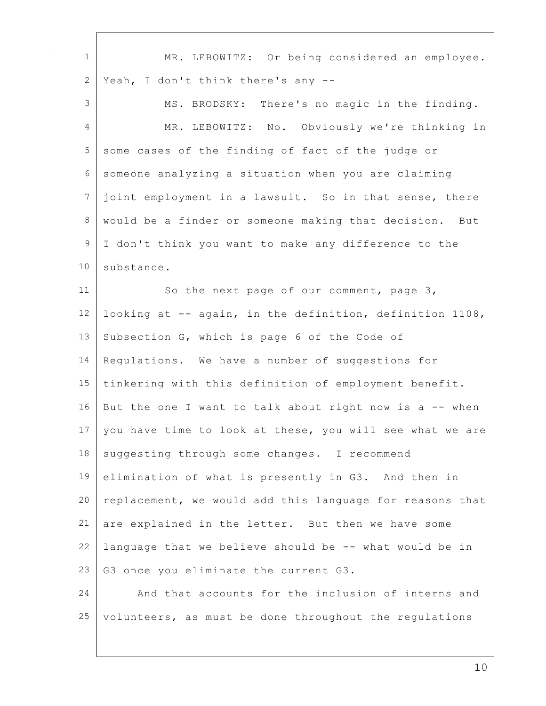| $\mathbf 1$     | MR. LEBOWITZ: Or being considered an employee.           |
|-----------------|----------------------------------------------------------|
| 2               | Yeah, I don't think there's any --                       |
| 3               | MS. BRODSKY: There's no magic in the finding.            |
| 4               | MR. LEBOWITZ: No. Obviously we're thinking in            |
| 5               | some cases of the finding of fact of the judge or        |
| 6               | someone analyzing a situation when you are claiming      |
| $7\phantom{.0}$ | joint employment in a lawsuit. So in that sense, there   |
| 8               | would be a finder or someone making that decision. But   |
| $\mathsf 9$     | I don't think you want to make any difference to the     |
| 10              | substance.                                               |
| 11              | So the next page of our comment, page 3,                 |
| 12              | looking at -- again, in the definition, definition 1108, |
| 13              | Subsection G, which is page 6 of the Code of             |
| 14              | Regulations. We have a number of suggestions for         |
| 15              | tinkering with this definition of employment benefit.    |
| 16              | But the one I want to talk about right now is a -- when  |
| 17              | you have time to look at these, you will see what we are |
| 18              | suggesting through some changes. I recommend             |
| 19              | elimination of what is presently in G3. And then in      |
| 20              | replacement, we would add this language for reasons that |
| 21              | are explained in the letter. But then we have some       |
| 22              | language that we believe should be -- what would be in   |
| 23              | G3 once you eliminate the current G3.                    |
| 24              | And that accounts for the inclusion of interns and       |
| 25              | volunteers, as must be done throughout the regulations   |
|                 |                                                          |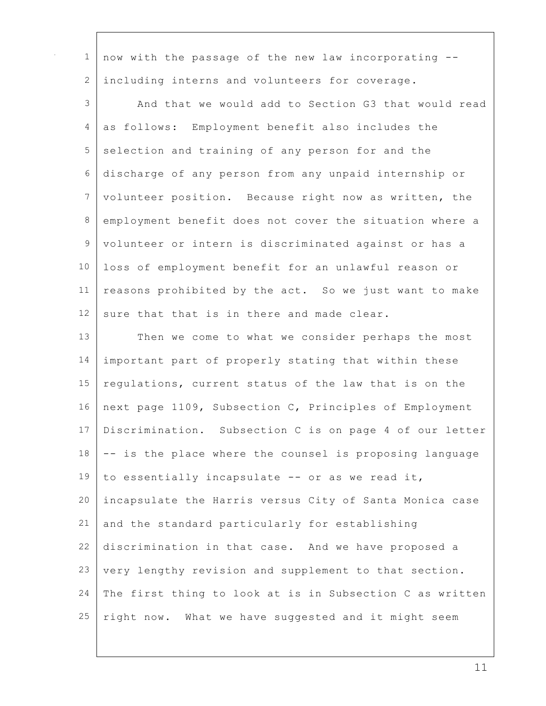| 1               | now with the passage of the new law incorporating --     |
|-----------------|----------------------------------------------------------|
| $\overline{2}$  | including interns and volunteers for coverage.           |
| 3               | And that we would add to Section G3 that would read      |
| $\overline{4}$  | as follows: Employment benefit also includes the         |
| 5               | selection and training of any person for and the         |
| 6               | discharge of any person from any unpaid internship or    |
| $7\phantom{.}$  | volunteer position. Because right now as written, the    |
| 8               | employment benefit does not cover the situation where a  |
| 9               | volunteer or intern is discriminated against or has a    |
| 10              | loss of employment benefit for an unlawful reason or     |
| 11              | reasons prohibited by the act. So we just want to make   |
| 12 <sup>°</sup> | sure that that is in there and made clear.               |
| 13              | Then we come to what we consider perhaps the most        |
| 14              | important part of properly stating that within these     |
| 15              | regulations, current status of the law that is on the    |
| 16              | next page 1109, Subsection C, Principles of Employment   |
| 17              | Discrimination. Subsection C is on page 4 of our letter  |
| 18              | -- is the place where the counsel is proposing language  |
| 19              | to essentially incapsulate -- or as we read it,          |
| 20              | incapsulate the Harris versus City of Santa Monica case  |
| 21              | and the standard particularly for establishing           |
| 22              | discrimination in that case. And we have proposed a      |
| 23              | very lengthy revision and supplement to that section.    |
| 24              | The first thing to look at is in Subsection C as written |
| 25              | right now. What we have suggested and it might seem      |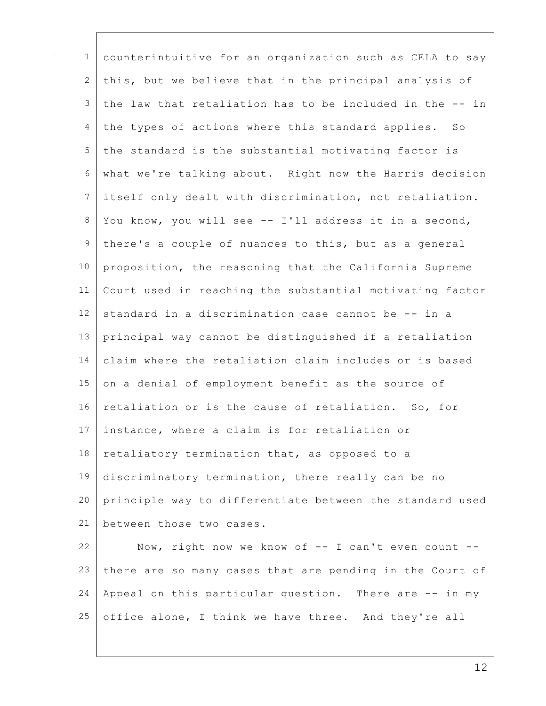| $\mathbf 1$   | counterintuitive for an organization such as CELA to say |
|---------------|----------------------------------------------------------|
| 2             | this, but we believe that in the principal analysis of   |
| $\mathcal{S}$ | the law that retaliation has to be included in the -- in |
| 4             | the types of actions where this standard applies. So     |
| 5             | the standard is the substantial motivating factor is     |
| $6\,$         | what we're talking about. Right now the Harris decision  |
| 7             | itself only dealt with discrimination, not retaliation.  |
| $\,8\,$       | You know, you will see -- I'll address it in a second,   |
| $\mathsf 9$   | there's a couple of nuances to this, but as a general    |
| 10            | proposition, the reasoning that the California Supreme   |
| 11            | Court used in reaching the substantial motivating factor |
| 12            | standard in a discrimination case cannot be -- in a      |
| 13            | principal way cannot be distinguished if a retaliation   |
| 14            | claim where the retaliation claim includes or is based   |
| 15            | on a denial of employment benefit as the source of       |
| 16            | retaliation or is the cause of retaliation. So, for      |
| 17            | instance, where a claim is for retaliation or            |
| 18            | retaliatory termination that, as opposed to a            |
| 19            | discriminatory termination, there really can be no       |
| 20            | principle way to differentiate between the standard used |
| 21            | between those two cases.                                 |
| 22            | Now, right now we know of -- I can't even count --       |
| 23            | there are so many cases that are pending in the Court of |
| 24            | Appeal on this particular question. There are -- in my   |
| 25            | office alone, I think we have three. And they're all     |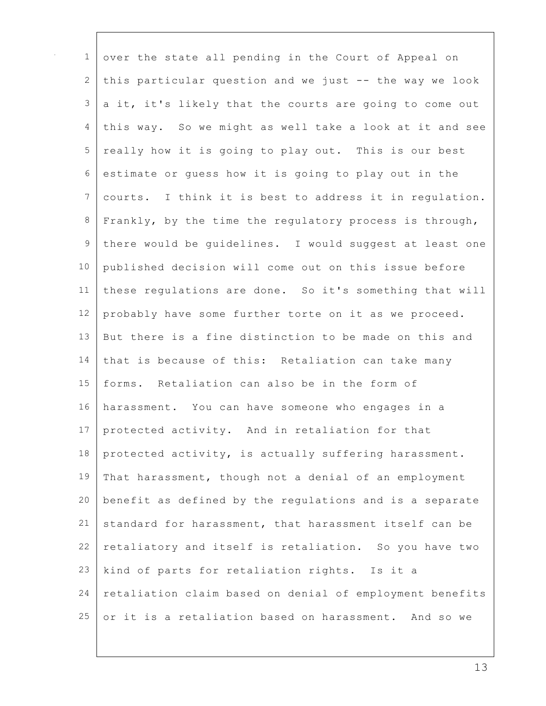| $\mathbf 1$ | over the state all pending in the Court of Appeal on     |
|-------------|----------------------------------------------------------|
| 2           | this particular question and we just -- the way we look  |
| 3           | a it, it's likely that the courts are going to come out  |
| 4           | this way. So we might as well take a look at it and see  |
| 5           | really how it is going to play out. This is our best     |
| 6           | estimate or quess how it is going to play out in the     |
| 7           | courts. I think it is best to address it in regulation.  |
| 8           | Frankly, by the time the regulatory process is through,  |
| $\mathsf 9$ | there would be guidelines. I would suggest at least one  |
| 10          | published decision will come out on this issue before    |
| 11          | these regulations are done. So it's something that will  |
| 12          | probably have some further torte on it as we proceed.    |
| 13          | But there is a fine distinction to be made on this and   |
| 14          | that is because of this: Retaliation can take many       |
| 15          | forms. Retaliation can also be in the form of            |
| 16          | harassment. You can have someone who engages in a        |
| 17          | protected activity. And in retaliation for that          |
| 18          | protected activity, is actually suffering harassment.    |
| 19          | That harassment, though not a denial of an employment    |
| 20          | benefit as defined by the regulations and is a separate  |
| 21          | standard for harassment, that harassment itself can be   |
| 22          | retaliatory and itself is retaliation. So you have two   |
| 23          | kind of parts for retaliation rights. Is it a            |
| 24          | retaliation claim based on denial of employment benefits |
| 25          | or it is a retaliation based on harassment. And so we    |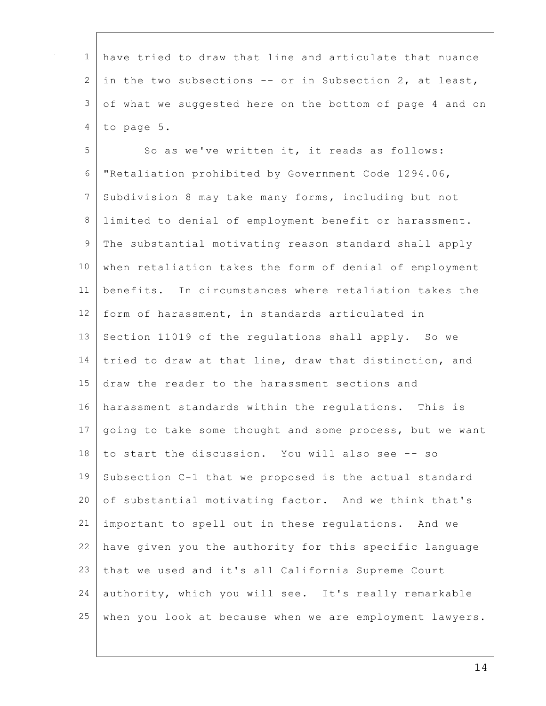| $\mathbf{1}$    | have tried to draw that line and articulate that nuance  |
|-----------------|----------------------------------------------------------|
| 2               | in the two subsections -- or in Subsection 2, at least,  |
| $\mathfrak{Z}$  | of what we suggested here on the bottom of page 4 and on |
| 4               | to page 5.                                               |
| 5               | So as we've written it, it reads as follows:             |
| $\epsilon$      | "Retaliation prohibited by Government Code 1294.06,      |
| $7\phantom{.0}$ | Subdivision 8 may take many forms, including but not     |
| $\,8\,$         | limited to denial of employment benefit or harassment.   |
| $\mathsf 9$     | The substantial motivating reason standard shall apply   |
| 10              | when retaliation takes the form of denial of employment  |
| 11              | benefits. In circumstances where retaliation takes the   |
| 12              | form of harassment, in standards articulated in          |
| 13              | Section 11019 of the regulations shall apply. So we      |
| 14              | tried to draw at that line, draw that distinction, and   |
| 15              | draw the reader to the harassment sections and           |
| 16              | harassment standards within the regulations. This is     |
| 17              | going to take some thought and some process, but we want |
| 18              | to start the discussion. You will also see -- so         |
| 19              | Subsection C-1 that we proposed is the actual standard   |
| 20              | of substantial motivating factor. And we think that's    |
| 21              | important to spell out in these regulations. And we      |
| 22              | have given you the authority for this specific language  |
| 23              | that we used and it's all California Supreme Court       |
| 24              | authority, which you will see. It's really remarkable    |
| 25              | when you look at because when we are employment lawyers. |

 $\Gamma$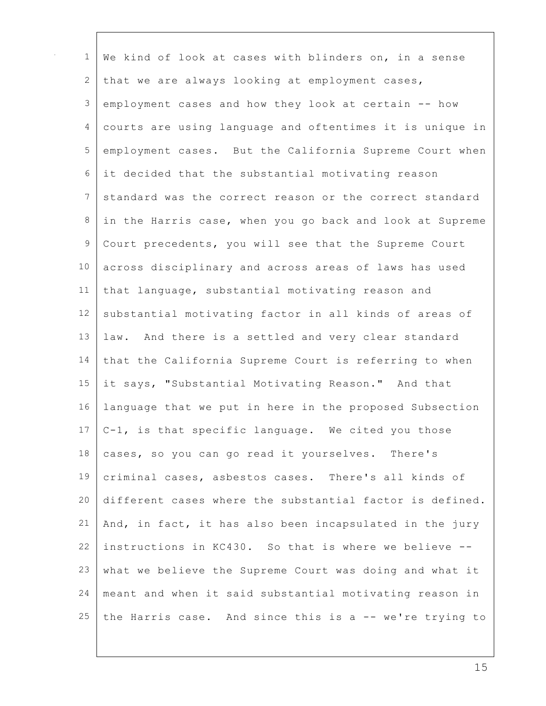| $\mathbf 1$    | We kind of look at cases with blinders on, in a sense    |
|----------------|----------------------------------------------------------|
| 2              | that we are always looking at employment cases,          |
| $\mathfrak{Z}$ | employment cases and how they look at certain -- how     |
| $\overline{4}$ | courts are using language and oftentimes it is unique in |
| 5              | employment cases. But the California Supreme Court when  |
| 6              | it decided that the substantial motivating reason        |
| 7              | standard was the correct reason or the correct standard  |
| 8              | in the Harris case, when you go back and look at Supreme |
| 9              | Court precedents, you will see that the Supreme Court    |
| 10             | across disciplinary and across areas of laws has used    |
| 11             | that language, substantial motivating reason and         |
| 12             | substantial motivating factor in all kinds of areas of   |
| 13             | law. And there is a settled and very clear standard      |
| 14             | that the California Supreme Court is referring to when   |
| 15             | it says, "Substantial Motivating Reason." And that       |
| 16             | language that we put in here in the proposed Subsection  |
| 17             | C-1, is that specific language. We cited you those       |
| 18             | cases, so you can go read it yourselves. There's         |
| 19             | criminal cases, asbestos cases. There's all kinds of     |
| 20             | different cases where the substantial factor is defined. |
| 21             | And, in fact, it has also been incapsulated in the jury  |
| 22             | instructions in KC430. So that is where we believe --    |
| 23             | what we believe the Supreme Court was doing and what it  |
| 24             | meant and when it said substantial motivating reason in  |
| 25             | the Harris case. And since this is a -- we're trying to  |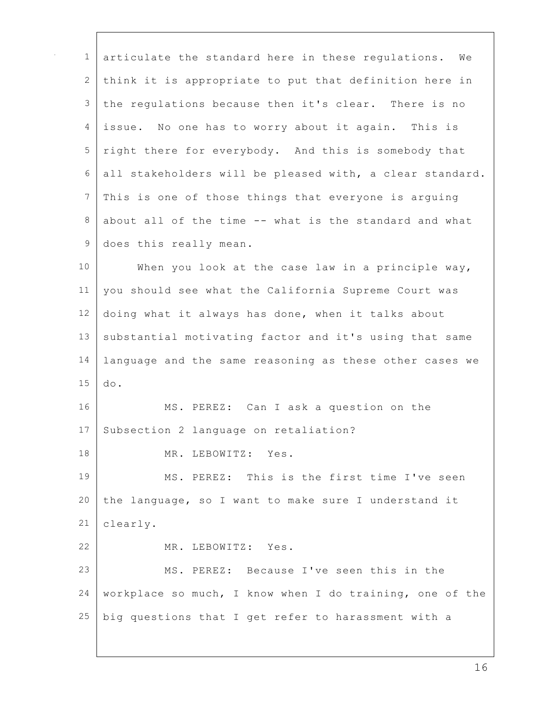| $\mathbf 1$ | articulate the standard here in these regulations. We    |
|-------------|----------------------------------------------------------|
| 2           | think it is appropriate to put that definition here in   |
| 3           | the regulations because then it's clear. There is no     |
| 4           | issue. No one has to worry about it again. This is       |
| 5           | right there for everybody. And this is somebody that     |
| 6           | all stakeholders will be pleased with, a clear standard. |
| 7           | This is one of those things that everyone is arguing     |
| 8           | about all of the time -- what is the standard and what   |
| $\mathsf 9$ | does this really mean.                                   |
| 10          | When you look at the case law in a principle way,        |
| 11          | you should see what the California Supreme Court was     |
| 12          | doing what it always has done, when it talks about       |
| 13          | substantial motivating factor and it's using that same   |
| 14          | language and the same reasoning as these other cases we  |
| 15          | do.                                                      |
| 16          | MS. PEREZ: Can I ask a question on the                   |
| 17          | Subsection 2 language on retaliation?                    |
| 18          | MR. LEBOWITZ: Yes.                                       |
| 19          | MS. PEREZ: This is the first time I've seen              |
| 20          | the language, so I want to make sure I understand it     |
| 21          | clearly.                                                 |
| 22          | MR. LEBOWITZ: Yes.                                       |
| 23          | MS. PEREZ: Because I've seen this in the                 |
| 24          | workplace so much, I know when I do training, one of the |
| 25          | big questions that I get refer to harassment with a      |
|             |                                                          |

 $\mathbf{I}$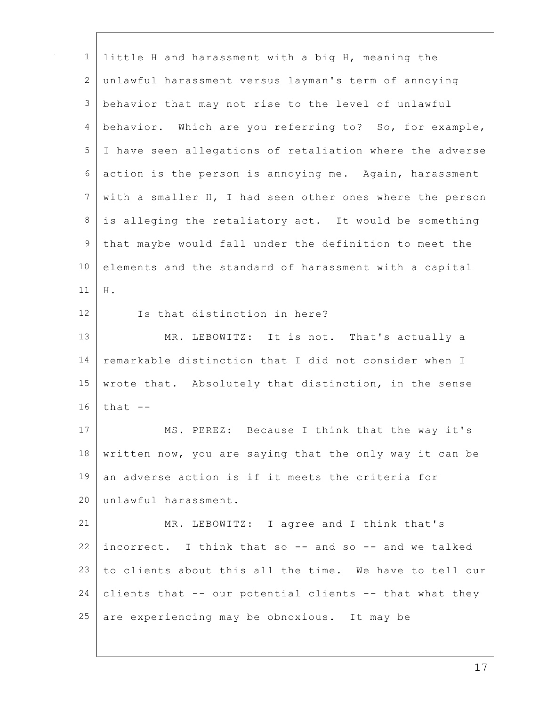| $\mathbf 1$     | little H and harassment with a big H, meaning the        |
|-----------------|----------------------------------------------------------|
| 2               | unlawful harassment versus layman's term of annoying     |
| $\mathfrak{Z}$  | behavior that may not rise to the level of unlawful      |
| 4               | behavior. Which are you referring to? So, for example,   |
| 5               | I have seen allegations of retaliation where the adverse |
| 6               | action is the person is annoying me. Again, harassment   |
| $7\phantom{.0}$ | with a smaller H, I had seen other ones where the person |
| $\,8\,$         | is alleging the retaliatory act. It would be something   |
| 9               | that maybe would fall under the definition to meet the   |
| 10              | elements and the standard of harassment with a capital   |
| 11              | H .                                                      |
| 12              | Is that distinction in here?                             |
| 13              | MR. LEBOWITZ: It is not. That's actually a               |
| 14              | remarkable distinction that I did not consider when I    |
| 15              | wrote that. Absolutely that distinction, in the sense    |
| 16              | that $--$                                                |
| 17              | MS. PEREZ: Because I think that the way it's             |
| 18              | written now, you are saying that the only way it can be  |
| 19              | an adverse action is if it meets the criteria for        |
| 20              | unlawful harassment.                                     |
| 21              | MR. LEBOWITZ: I agree and I think that's                 |
| 22              | incorrect. I think that so -- and so -- and we talked    |
| 23              | to clients about this all the time. We have to tell our  |
| 24              | clients that -- our potential clients -- that what they  |
| 25              | are experiencing may be obnoxious. It may be             |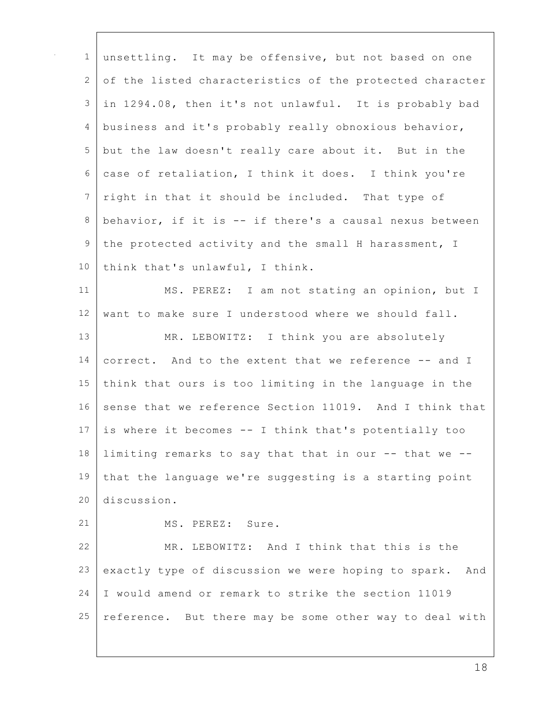| $\mathbf{1}$   | unsettling. It may be offensive, but not based on one    |
|----------------|----------------------------------------------------------|
| $\mathbf{2}$   |                                                          |
|                | of the listed characteristics of the protected character |
| 3              | in 1294.08, then it's not unlawful. It is probably bad   |
| 4              | business and it's probably really obnoxious behavior,    |
| 5              | but the law doesn't really care about it. But in the     |
| 6              | case of retaliation, I think it does. I think you're     |
| $\overline{7}$ | right in that it should be included. That type of        |
| $\,8\,$        | behavior, if it is -- if there's a causal nexus between  |
| $\mathsf 9$    | the protected activity and the small H harassment, I     |
| 10             | think that's unlawful, I think.                          |
| 11             | MS. PEREZ: I am not stating an opinion, but I            |
| 12             | want to make sure I understood where we should fall.     |
| 13             | MR. LEBOWITZ: I think you are absolutely                 |
| 14             | correct. And to the extent that we reference -- and I    |
| 15             | think that ours is too limiting in the language in the   |
| 16             | sense that we reference Section 11019. And I think that  |
| 17             | is where it becomes -- I think that's potentially too    |
| 18             | limiting remarks to say that that in our -- that we --   |
| 19             | that the language we're suggesting is a starting point   |
| 20             | discussion.                                              |
| 21             | MS. PEREZ: Sure.                                         |
| 22             | MR. LEBOWITZ: And I think that this is the               |
| 23             | exactly type of discussion we were hoping to spark. And  |
| 24             | I would amend or remark to strike the section 11019      |
| 25             | reference. But there may be some other way to deal with  |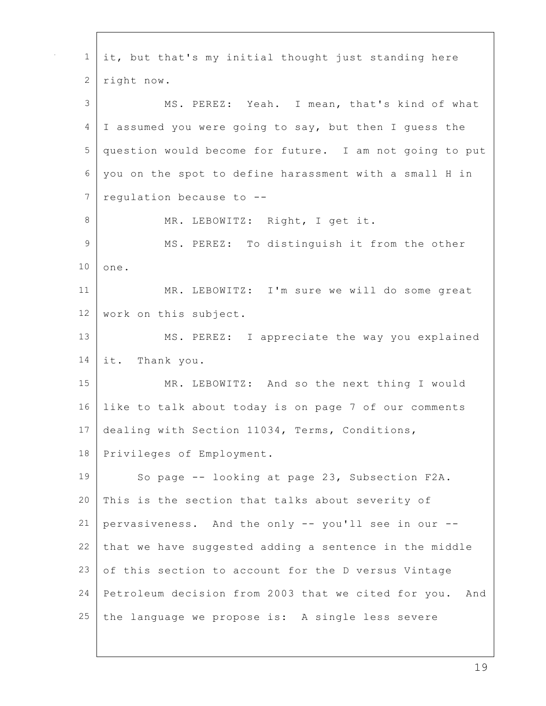| $\mathbf 1$    | it, but that's my initial thought just standing here       |
|----------------|------------------------------------------------------------|
| 2              | right now.                                                 |
| 3              | MS. PEREZ: Yeah. I mean, that's kind of what               |
| 4              | I assumed you were going to say, but then I guess the      |
| 5              | question would become for future. I am not going to put    |
| 6              | you on the spot to define harassment with a small H in     |
| 7              | regulation because to --                                   |
| $\,8\,$        | MR. LEBOWITZ: Right, I get it.                             |
| $\overline{9}$ | MS. PEREZ: To distinguish it from the other                |
| 10             | one.                                                       |
| 11             | MR. LEBOWITZ: I'm sure we will do some great               |
| 12             | work on this subject.                                      |
| 13             | MS. PEREZ: I appreciate the way you explained              |
| 14             | it. Thank you.                                             |
| 15             | MR. LEBOWITZ: And so the next thing I would                |
| 16             | like to talk about today is on page 7 of our comments      |
| 17             | dealing with Section 11034, Terms, Conditions,             |
| 18             | Privileges of Employment.                                  |
| 19             | So page -- looking at page 23, Subsection F2A.             |
| 20             | This is the section that talks about severity of           |
| 21             | pervasiveness. And the only -- you'll see in our --        |
| 22             | that we have suggested adding a sentence in the middle     |
| 23             | of this section to account for the D versus Vintage        |
| 24             | Petroleum decision from 2003 that we cited for you.<br>And |
| 25             | the language we propose is: A single less severe           |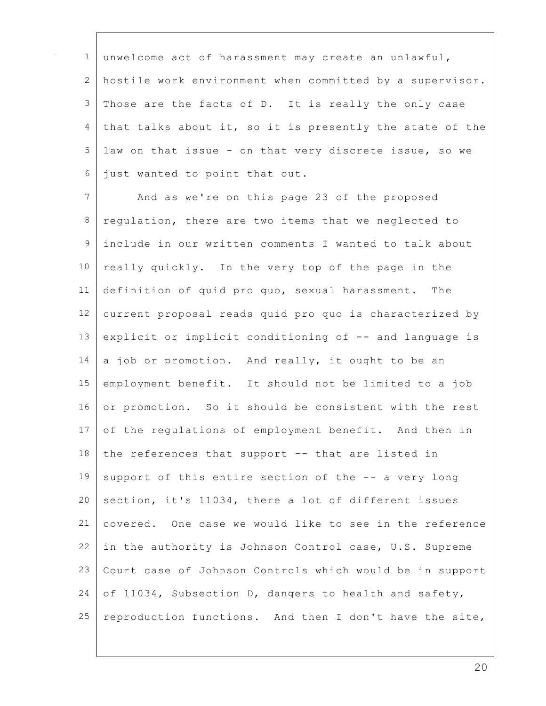unwelcome act of harassment may create an unlawful, hostile work environment when committed by a supervisor. Those are the facts of D. It is really the only case that talks about it, so it is presently the state of the law on that issue - on that very discrete issue, so we just wanted to point that out. 7 And as we're on this page 23 of the proposed regulation, there are two items that we neglected to include in our written comments I wanted to talk about 10 really quickly. In the very top of the page in the definition of quid pro quo, sexual harassment. The current proposal reads quid pro quo is characterized by explicit or implicit conditioning of -- and language is a job or promotion. And really, it ought to be an employment benefit. It should not be limited to a job 16 or promotion. So it should be consistent with the rest of the regulations of employment benefit. And then in the references that support  $-$  that are listed in 19 support of this entire section of the  $-$ - a very long section, it's 11034, there a lot of different issues covered. One case we would like to see in the reference in the authority is Johnson Control case, U.S. Supreme Court case of Johnson Controls which would be in support 24 of 11034, Subsection D, dangers to health and safety, reproduction functions. And then I don't have the site,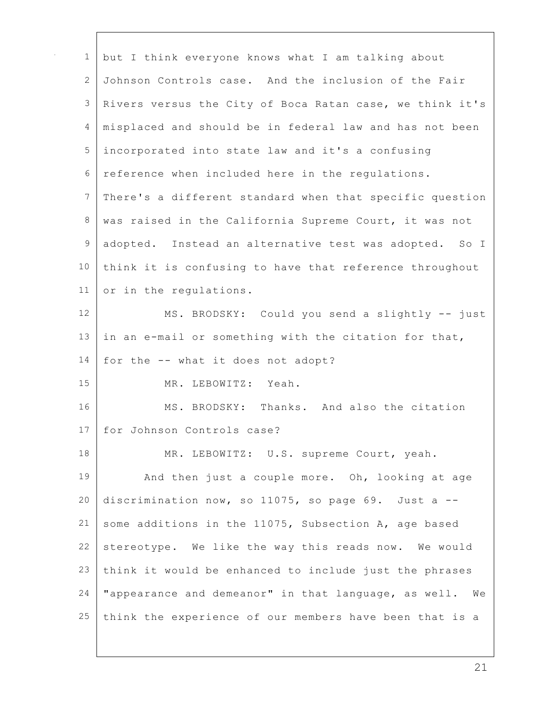| $\mathbf 1$   | but I think everyone knows what I am talking about       |
|---------------|----------------------------------------------------------|
| 2             | Johnson Controls case. And the inclusion of the Fair     |
| 3             | Rivers versus the City of Boca Ratan case, we think it's |
| 4             | misplaced and should be in federal law and has not been  |
| 5             | incorporated into state law and it's a confusing         |
| 6             | reference when included here in the requlations.         |
| 7             | There's a different standard when that specific question |
| 8             | was raised in the California Supreme Court, it was not   |
| $\mathcal{G}$ | adopted. Instead an alternative test was adopted. So I   |
| 10            | think it is confusing to have that reference throughout  |
| 11            | or in the regulations.                                   |
| 12            | MS. BRODSKY: Could you send a slightly -- just           |
| 13            | in an e-mail or something with the citation for that,    |
| 14            | for the -- what it does not adopt?                       |
| 15            | MR. LEBOWITZ: Yeah.                                      |
| 16            | MS. BRODSKY: Thanks. And also the citation               |
| 17            | for Johnson Controls case?                               |
| 18            | MR. LEBOWITZ: U.S. supreme Court, yeah.                  |
| 19            | And then just a couple more. Oh, looking at age          |
| 20            | discrimination now, so 11075, so page 69. Just a --      |
| 21            | some additions in the 11075, Subsection A, age based     |
| 22            | stereotype. We like the way this reads now. We would     |
| 23            | think it would be enhanced to include just the phrases   |
| 24            | "appearance and demeanor" in that language, as well. We  |
| 25            | think the experience of our members have been that is a  |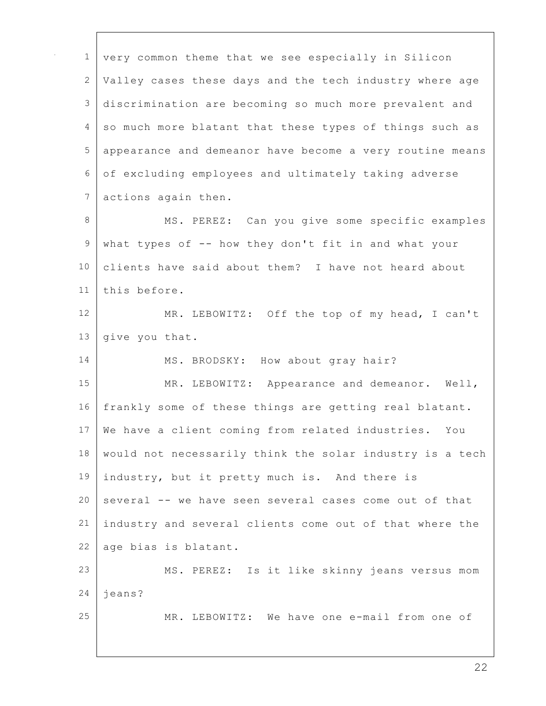| $\mathbf{1}$    | very common theme that we see especially in Silicon      |
|-----------------|----------------------------------------------------------|
| 2               | Valley cases these days and the tech industry where age  |
| 3               | discrimination are becoming so much more prevalent and   |
| 4               | so much more blatant that these types of things such as  |
| 5               | appearance and demeanor have become a very routine means |
| 6               | of excluding employees and ultimately taking adverse     |
| 7               | actions again then.                                      |
| 8               | MS. PEREZ: Can you give some specific examples           |
| $\mathcal{G}$   | what types of -- how they don't fit in and what your     |
| 10              | clients have said about them? I have not heard about     |
| 11              | this before.                                             |
| 12 <sup>2</sup> | MR. LEBOWITZ: Off the top of my head, I can't            |
| 13              | give you that.                                           |
| 14              | MS. BRODSKY: How about gray hair?                        |
| 15              | MR. LEBOWITZ: Appearance and demeanor. Well,             |
| 16              | frankly some of these things are getting real blatant.   |
| 17              | We have a client coming from related industries. You     |
| 18              | would not necessarily think the solar industry is a tech |
| 19              | industry, but it pretty much is. And there is            |
| 20              | several -- we have seen several cases come out of that   |
| 21              | industry and several clients come out of that where the  |
| 22              | age bias is blatant.                                     |
| 23              | MS. PEREZ: Is it like skinny jeans versus mom            |
| 24              | jeans?                                                   |
| 25              | MR. LEBOWITZ: We have one e-mail from one of             |
|                 |                                                          |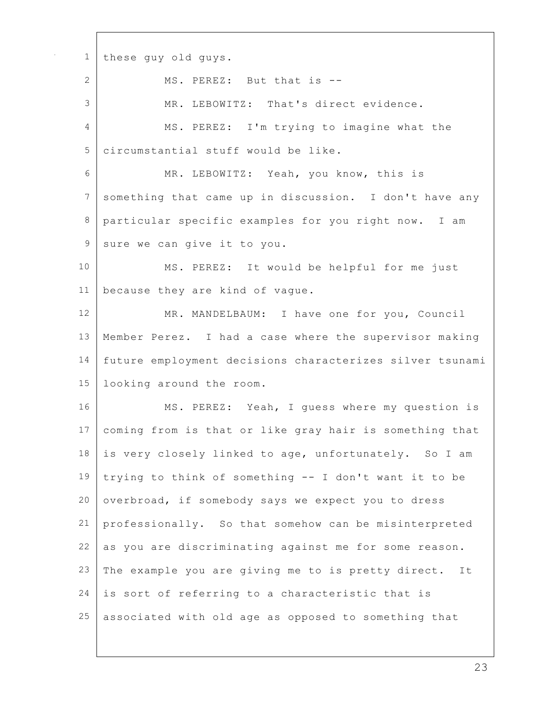these guy old guys. 2 MS. PEREZ: But that is -- MR. LEBOWITZ: That's direct evidence. 4 MS. PEREZ: I'm trying to imagine what the circumstantial stuff would be like. MR. LEBOWITZ: Yeah, you know, this is something that came up in discussion. I don't have any particular specific examples for you right now. I am 9 sure we can give it to you. MS. PEREZ: It would be helpful for me just because they are kind of vague. 12 MR. MANDELBAUM: I have one for you, Council Member Perez. I had a case where the supervisor making future employment decisions characterizes silver tsunami looking around the room. 16 MS. PEREZ: Yeah, I quess where my question is coming from is that or like gray hair is something that is very closely linked to age, unfortunately. So I am 19 trying to think of something  $-$  I don't want it to be 20 overbroad, if somebody says we expect you to dress professionally. So that somehow can be misinterpreted as you are discriminating against me for some reason. 23 The example you are giving me to is pretty direct. It is sort of referring to a characteristic that is associated with old age as opposed to something that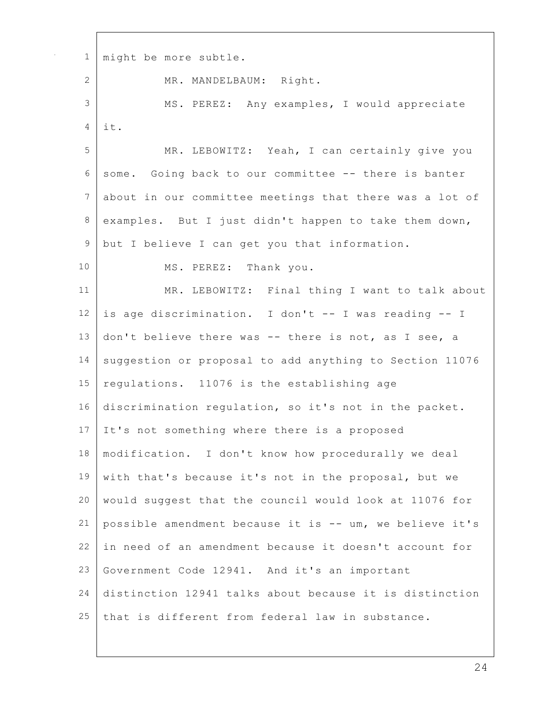1 | might be more subtle. 2 MR. MANDELBAUM: Right. 3 | MS. PEREZ: Any examples, I would appreciate  $4$  it. 5 MR. LEBOWITZ: Yeah, I can certainly give you 6 some. Going back to our committee -- there is banter 7 about in our committee meetings that there was a lot of 8 examples. But I just didn't happen to take them down, 9 but I believe I can get you that information. 10 MS. PEREZ: Thank you. 11 | MR. LEBOWITZ: Final thing I want to talk about 12 is age discrimination. I don't  $--$  I was reading  $--$  I 13 don't believe there was -- there is not, as I see, a 14 suggestion or proposal to add anything to Section 11076 15 | regulations. 11076 is the establishing age 16 discrimination regulation, so it's not in the packet. 17 It's not something where there is a proposed 18 modification. I don't know how procedurally we deal 19 with that's because it's not in the proposal, but we 20 would suggest that the council would look at 11076 for 21 possible amendment because it is -- um, we believe it's 22 in need of an amendment because it doesn't account for 23 Government Code 12941. And it's an important 24 distinction 12941 talks about because it is distinction 25 that is different from federal law in substance.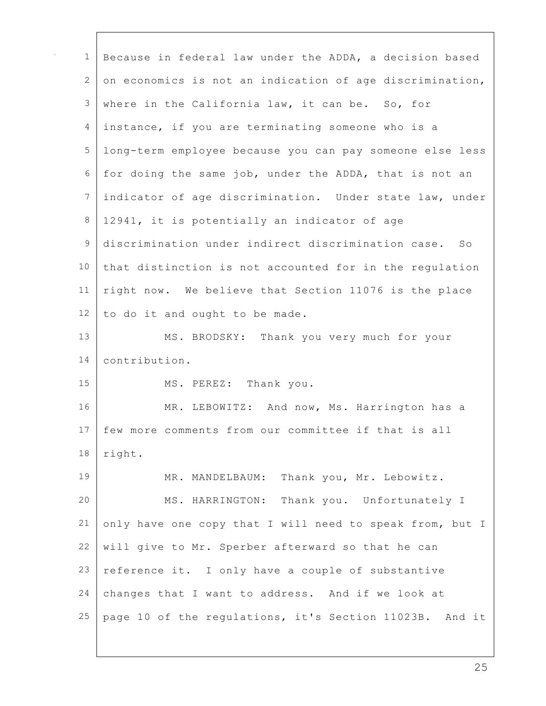| $\mathbf 1$     | Because in federal law under the ADDA, a decision based  |
|-----------------|----------------------------------------------------------|
|                 |                                                          |
| 2               | on economics is not an indication of age discrimination, |
| 3               | where in the California law, it can be. So, for          |
| 4               | instance, if you are terminating someone who is a        |
| 5               | long-term employee because you can pay someone else less |
| 6               | for doing the same job, under the ADDA, that is not an   |
| 7               | indicator of age discrimination. Under state law, under  |
| $\,8\,$         | 12941, it is potentially an indicator of age             |
| $\mathsf 9$     | discrimination under indirect discrimination case. So    |
| 10 <sub>o</sub> | that distinction is not accounted for in the regulation  |
| 11              | right now. We believe that Section 11076 is the place    |
| 12              | to do it and ought to be made.                           |
| 13              | MS. BRODSKY: Thank you very much for your                |
| 14              | contribution.                                            |
| 15              | MS. PEREZ: Thank you.                                    |
| 16              | MR. LEBOWITZ: And now, Ms. Harrington has a              |
| 17              | few more comments from our committee if that is all      |
| 18              | right.                                                   |
| 19              | Thank you, Mr. Lebowitz.<br>MR. MANDELBAUM:              |
| 20              | MS. HARRINGTON: Thank you. Unfortunately I               |
| 21              | only have one copy that I will need to speak from, but I |
| 22              | will give to Mr. Sperber afterward so that he can        |
| 23              | reference it. I only have a couple of substantive        |
| 24              | changes that I want to address. And if we look at        |
| 25              | page 10 of the regulations, it's Section 11023B. And it  |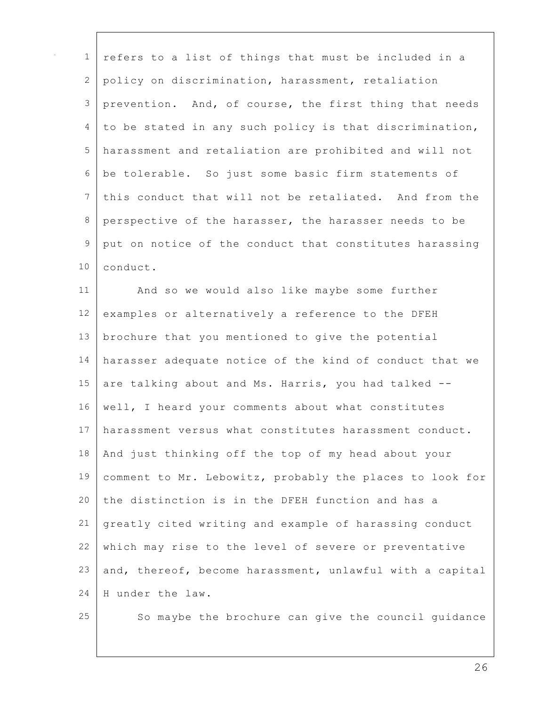| $\mathbf 1$   | refers to a list of things that must be included in a    |
|---------------|----------------------------------------------------------|
| 2             | policy on discrimination, harassment, retaliation        |
| 3             | prevention. And, of course, the first thing that needs   |
| 4             | to be stated in any such policy is that discrimination,  |
| 5             | harassment and retaliation are prohibited and will not   |
| 6             | be tolerable. So just some basic firm statements of      |
| 7             | this conduct that will not be retaliated. And from the   |
| 8             | perspective of the harasser, the harasser needs to be    |
| $\mathcal{G}$ | put on notice of the conduct that constitutes harassing  |
| 10            | conduct.                                                 |
| 11            | And so we would also like maybe some further             |
| 12            | examples or alternatively a reference to the DFEH        |
| 13            | brochure that you mentioned to give the potential        |
| 14            | harasser adequate notice of the kind of conduct that we  |
| 15            | are talking about and Ms. Harris, you had talked --      |
| 16            | well, I heard your comments about what constitutes       |
| 17            | harassment versus what constitutes harassment conduct.   |
| 18            | And just thinking off the top of my head about your      |
| 19            | comment to Mr. Lebowitz, probably the places to look for |
| 20            | the distinction is in the DFEH function and has a        |
| 21            | greatly cited writing and example of harassing conduct   |
| 22            | which may rise to the level of severe or preventative    |
| 23            | and, thereof, become harassment, unlawful with a capital |
| 24            | H under the law.                                         |
| 25            | So maybe the brochure can give the council guidance      |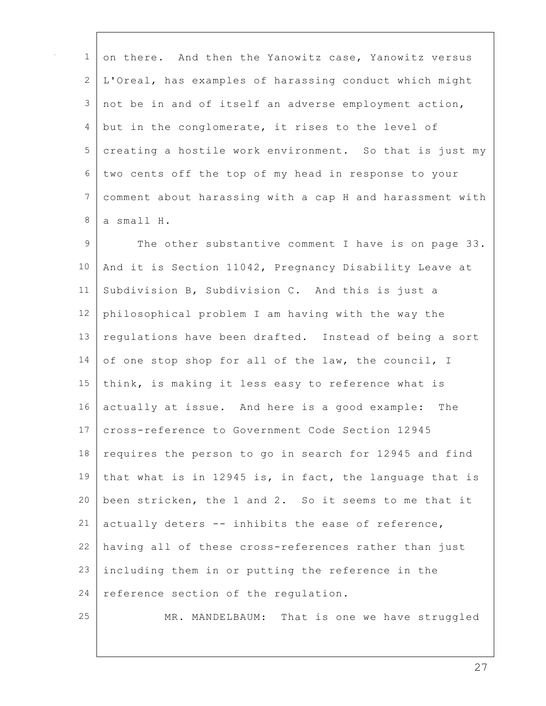| $\mathbf{1}$ | on there. And then the Yanowitz case, Yanowitz versus    |
|--------------|----------------------------------------------------------|
| 2            | L'Oreal, has examples of harassing conduct which might   |
| 3            | not be in and of itself an adverse employment action,    |
| 4            | but in the conglomerate, it rises to the level of        |
| 5            | creating a hostile work environment. So that is just my  |
| 6            | two cents off the top of my head in response to your     |
| 7            | comment about harassing with a cap H and harassment with |
| 8            | a small H.                                               |
| 9            | The other substantive comment I have is on page 33.      |
| 10           | And it is Section 11042, Pregnancy Disability Leave at   |
| 11           | Subdivision B, Subdivision C. And this is just a         |
| 12           | philosophical problem I am having with the way the       |
| 13           | regulations have been drafted. Instead of being a sort   |
| 14           | of one stop shop for all of the law, the council, I      |
| 15           | think, is making it less easy to reference what is       |
| 16           | actually at issue. And here is a good example:<br>The    |
| 17           | cross-reference to Government Code Section 12945         |
| 18           | requires the person to go in search for 12945 and find   |
| 19           | that what is in 12945 is, in fact, the language that is  |
| 20           | been stricken, the 1 and 2. So it seems to me that it    |
| 21           | actually deters -- inhibits the ease of reference,       |
| 22           | having all of these cross-references rather than just    |
| 23           | including them in or putting the reference in the        |
| 24           | reference section of the regulation.                     |
| 25           | MR. MANDELBAUM: That is one we have struggled            |
|              |                                                          |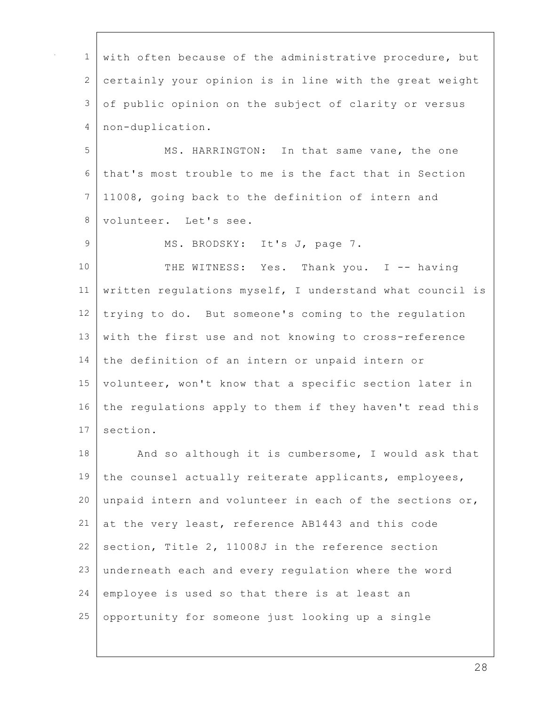| 1            | with often because of the administrative procedure, but  |
|--------------|----------------------------------------------------------|
| $\mathbf{2}$ | certainly your opinion is in line with the great weight  |
| 3            | of public opinion on the subject of clarity or versus    |
| 4            | non-duplication.                                         |
| 5            | MS. HARRINGTON: In that same vane, the one               |
| $\sqrt{6}$   | that's most trouble to me is the fact that in Section    |
| 7            | 11008, going back to the definition of intern and        |
| 8            | volunteer. Let's see.                                    |
| $\mathsf 9$  | MS. BRODSKY: It's J, page 7.                             |
| 10           | THE WITNESS: Yes. Thank you. I -- having                 |
| 11           | written regulations myself, I understand what council is |
| 12           | trying to do. But someone's coming to the regulation     |
| 13           | with the first use and not knowing to cross-reference    |
| 14           | the definition of an intern or unpaid intern or          |
| 15           | volunteer, won't know that a specific section later in   |
| 16           | the regulations apply to them if they haven't read this  |
| 17           | section.                                                 |
| 18           | And so although it is cumbersome, I would ask that       |
| 19           | the counsel actually reiterate applicants, employees,    |
| 20           | unpaid intern and volunteer in each of the sections or,  |
| 21           | at the very least, reference AB1443 and this code        |
| 22           | section, Title 2, 11008J in the reference section        |
| 23           | underneath each and every regulation where the word      |
| 24           | employee is used so that there is at least an            |
| 25           | opportunity for someone just looking up a single         |
|              |                                                          |

 $\Gamma$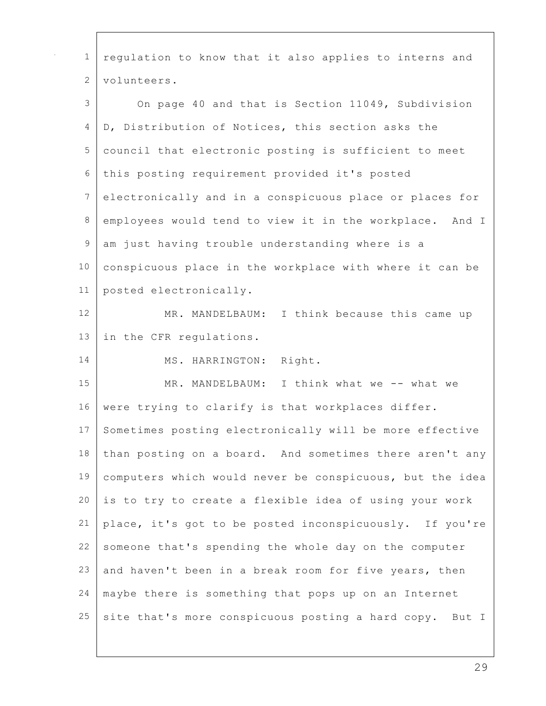| $\mathbf{1}$   | regulation to know that it also applies to interns and   |
|----------------|----------------------------------------------------------|
| 2              | volunteers.                                              |
|                |                                                          |
| 3              | On page 40 and that is Section 11049, Subdivision        |
| 4              | D, Distribution of Notices, this section asks the        |
| 5              | council that electronic posting is sufficient to meet    |
| 6              | this posting requirement provided it's posted            |
| $7\phantom{.}$ | electronically and in a conspicuous place or places for  |
| $\,8\,$        | employees would tend to view it in the workplace. And I  |
| 9              | am just having trouble understanding where is a          |
| 10             | conspicuous place in the workplace with where it can be  |
| 11             | posted electronically.                                   |
| 12             | MR. MANDELBAUM: I think because this came up             |
| 13             | in the CFR regulations.                                  |
| 14             | Right.<br>MS. HARRINGTON:                                |
| 15             | MR. MANDELBAUM: I think what we -- what we               |
| 16             | were trying to clarify is that workplaces differ.        |
| 17             | Sometimes posting electronically will be more effective  |
| 18             | than posting on a board. And sometimes there aren't any  |
| 19             | computers which would never be conspicuous, but the idea |
| 20             | is to try to create a flexible idea of using your work   |
| 21             | place, it's got to be posted inconspicuously. If you're  |
| 22             | someone that's spending the whole day on the computer    |
| 23             | and haven't been in a break room for five years, then    |
| 24             | maybe there is something that pops up on an Internet     |
| 25             | site that's more conspicuous posting a hard copy. But I  |

 $\overline{1}$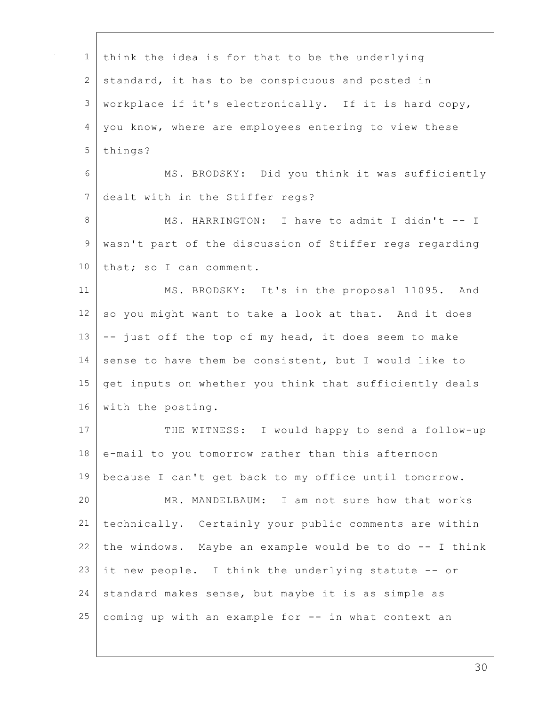| $\mathbf 1$   | think the idea is for that to be the underlying         |
|---------------|---------------------------------------------------------|
| 2             | standard, it has to be conspicuous and posted in        |
| 3             | workplace if it's electronically. If it is hard copy,   |
| 4             | you know, where are employees entering to view these    |
| 5             | things?                                                 |
| 6             | MS. BRODSKY: Did you think it was sufficiently          |
| 7             | dealt with in the Stiffer regs?                         |
| 8             | MS. HARRINGTON: I have to admit I didn't -- I           |
| $\mathcal{G}$ | wasn't part of the discussion of Stiffer regs regarding |
| 10            | that; so I can comment.                                 |
| 11            | MS. BRODSKY: It's in the proposal 11095. And            |
| 12            | so you might want to take a look at that. And it does   |
| 13            | -- just off the top of my head, it does seem to make    |
| 14            | sense to have them be consistent, but I would like to   |
| 15            | get inputs on whether you think that sufficiently deals |
| 16            | with the posting.                                       |
| 17            | THE WITNESS: I would happy to send a follow-up          |
| 18            | e-mail to you tomorrow rather than this afternoon       |
| 19            | because I can't get back to my office until tomorrow.   |
| 20            | MR. MANDELBAUM: I am not sure how that works            |
| 21            | technically. Certainly your public comments are within  |
| 22            | the windows. Maybe an example would be to do -- I think |
| 23            | it new people. I think the underlying statute -- or     |
| 24            | standard makes sense, but maybe it is as simple as      |
| 25            | coming up with an example for -- in what context an     |
|               |                                                         |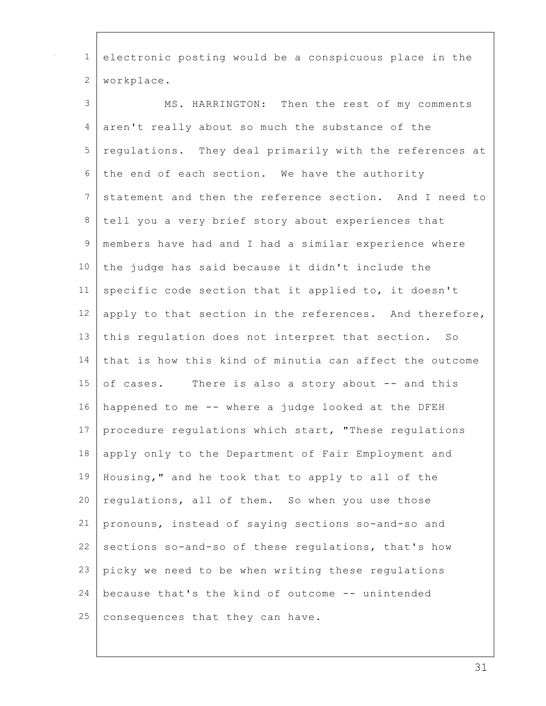| $\mathbf{1}$    | electronic posting would be a conspicuous place in the  |
|-----------------|---------------------------------------------------------|
| $\mathbf{2}$    | workplace.                                              |
| 3               | MS. HARRINGTON: Then the rest of my comments            |
| 4               | aren't really about so much the substance of the        |
| 5               | requlations. They deal primarily with the references at |
| 6               | the end of each section. We have the authority          |
| $7\phantom{.0}$ | statement and then the reference section. And I need to |
| 8               | tell you a very brief story about experiences that      |
| $\mathcal{G}$   | members have had and I had a similar experience where   |
| 10              | the judge has said because it didn't include the        |
| 11              | specific code section that it applied to, it doesn't    |
| 12              | apply to that section in the references. And therefore, |
| 13              | this regulation does not interpret that section. So     |
| 14              | that is how this kind of minutia can affect the outcome |
| 15              | of cases. There is also a story about -- and this       |
| 16              | happened to me -- where a judge looked at the DFEH      |
| 17              | procedure regulations which start, "These regulations   |
| 18              | apply only to the Department of Fair Employment and     |
| 19              | Housing," and he took that to apply to all of the       |
| 20              | regulations, all of them. So when you use those         |
| 21              | pronouns, instead of saying sections so-and-so and      |
| 22              | sections so-and-so of these regulations, that's how     |
| 23              | picky we need to be when writing these regulations      |
| 24              | because that's the kind of outcome -- unintended        |
| 25              | consequences that they can have.                        |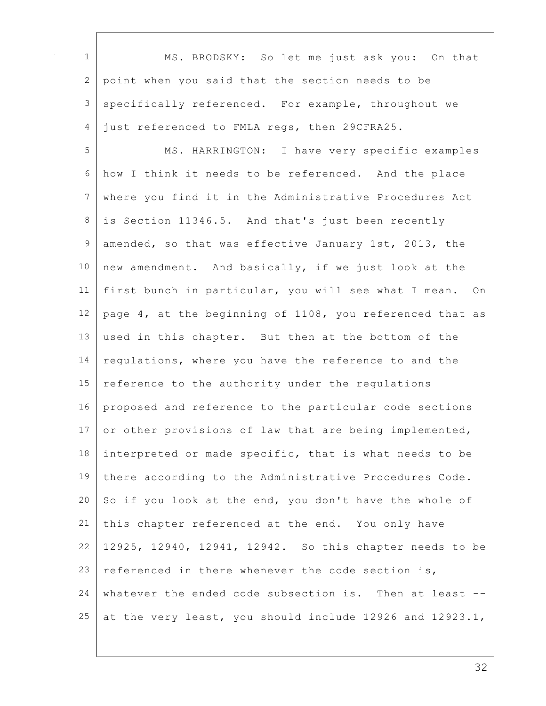| $\mathbf 1$     | MS. BRODSKY: So let me just ask you: On that             |
|-----------------|----------------------------------------------------------|
| $\mathbf{2}$    | point when you said that the section needs to be         |
| 3               | specifically referenced. For example, throughout we      |
| 4               | just referenced to FMLA regs, then 29CFRA25.             |
| 5               | MS. HARRINGTON: I have very specific examples            |
| 6               | how I think it needs to be referenced. And the place     |
| $7\phantom{.}$  | where you find it in the Administrative Procedures Act   |
| 8               | is Section 11346.5. And that's just been recently        |
| 9               | amended, so that was effective January 1st, 2013, the    |
| 10              | new amendment. And basically, if we just look at the     |
| 11              | first bunch in particular, you will see what I mean. On  |
| 12              | page 4, at the beginning of 1108, you referenced that as |
| 13              | used in this chapter. But then at the bottom of the      |
| 14              | regulations, where you have the reference to and the     |
| 15              | reference to the authority under the regulations         |
| 16              | proposed and reference to the particular code sections   |
| 17 <sub>2</sub> | or other provisions of law that are being implemented,   |
| 18              | interpreted or made specific, that is what needs to be   |
| 19              | there according to the Administrative Procedures Code.   |
| 20              | So if you look at the end, you don't have the whole of   |
| 21              | this chapter referenced at the end. You only have        |
| 22              | 12925, 12940, 12941, 12942. So this chapter needs to be  |
| 23              | referenced in there whenever the code section is,        |
| 24              | whatever the ended code subsection is. Then at least --  |
| 25              | at the very least, you should include 12926 and 12923.1, |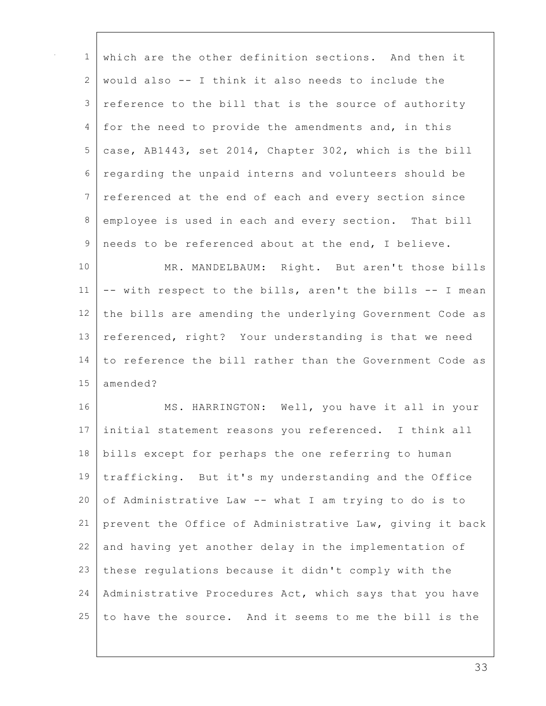| $\mathbf{1}$ | which are the other definition sections. And then it     |
|--------------|----------------------------------------------------------|
| 2            | would also -- I think it also needs to include the       |
| 3            | reference to the bill that is the source of authority    |
| 4            | for the need to provide the amendments and, in this      |
| 5            | case, AB1443, set 2014, Chapter 302, which is the bill   |
| 6            | regarding the unpaid interns and volunteers should be    |
| 7            | referenced at the end of each and every section since    |
| 8            | employee is used in each and every section. That bill    |
| 9            | needs to be referenced about at the end, I believe.      |
| 10           | MR. MANDELBAUM: Right. But aren't those bills            |
| 11           | -- with respect to the bills, aren't the bills -- I mean |
| 12           | the bills are amending the underlying Government Code as |
| 13           | referenced, right? Your understanding is that we need    |
| 14           | to reference the bill rather than the Government Code as |
| 15           | amended?                                                 |
| 16           | MS. HARRINGTON: Well, you have it all in your            |
| 17           | initial statement reasons you referenced. I think all    |
| 18           | bills except for perhaps the one referring to human      |
| 19           | trafficking. But it's my understanding and the Office    |
| 20           | of Administrative Law -- what I am trying to do is to    |
| 21           | prevent the Office of Administrative Law, giving it back |
| 22           | and having yet another delay in the implementation of    |
| 23           | these regulations because it didn't comply with the      |
| 24           | Administrative Procedures Act, which says that you have  |
| 25           | to have the source. And it seems to me the bill is the   |
|              |                                                          |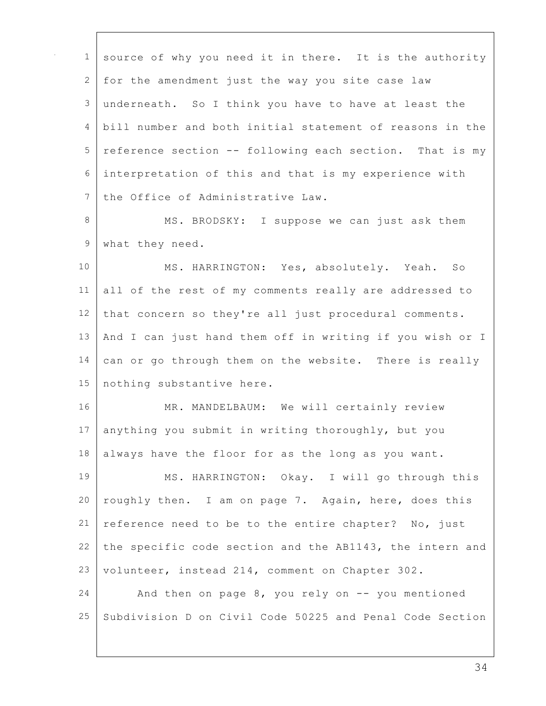| $\mathbf{1}$  | source of why you need it in there. It is the authority  |
|---------------|----------------------------------------------------------|
| 2             | for the amendment just the way you site case law         |
| $\mathsf 3$   | underneath. So I think you have to have at least the     |
| 4             | bill number and both initial statement of reasons in the |
| 5             | reference section -- following each section. That is my  |
| 6             | interpretation of this and that is my experience with    |
| 7             | the Office of Administrative Law.                        |
| 8             | MS. BRODSKY: I suppose we can just ask them              |
| $\mathcal{G}$ | what they need.                                          |
| 10            | MS. HARRINGTON: Yes, absolutely. Yeah. So                |
| 11            | all of the rest of my comments really are addressed to   |
| 12            | that concern so they're all just procedural comments.    |
| 13            | And I can just hand them off in writing if you wish or I |
| 14            | can or go through them on the website. There is really   |
| 15            | nothing substantive here.                                |
| 16            | MR. MANDELBAUM: We will certainly review                 |
| 17            | anything you submit in writing thoroughly, but you       |
| 18            | always have the floor for as the long as you want.       |
| 19            | MS. HARRINGTON: Okay. I will go through this             |
| 20            | roughly then. I am on page 7. Again, here, does this     |
| 21            | reference need to be to the entire chapter? No, just     |
| 22            | the specific code section and the AB1143, the intern and |
| 23            | volunteer, instead 214, comment on Chapter 302.          |
| 24            | And then on page 8, you rely on -- you mentioned         |
| 25            | Subdivision D on Civil Code 50225 and Penal Code Section |
|               |                                                          |

 $\Gamma$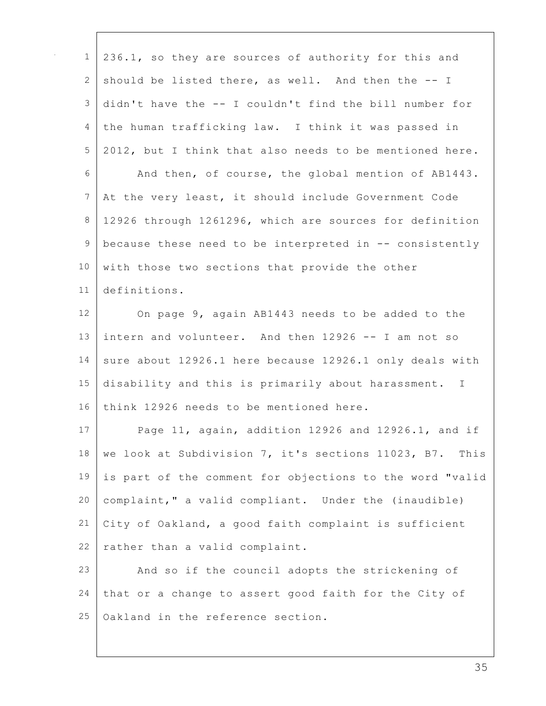| $\mathbf{1}$   | 236.1, so they are sources of authority for this and     |
|----------------|----------------------------------------------------------|
| 2              | should be listed there, as well. And then the -- I       |
| 3              | didn't have the -- I couldn't find the bill number for   |
| 4              | the human trafficking law. I think it was passed in      |
| 5              | 2012, but I think that also needs to be mentioned here.  |
| 6              | And then, of course, the global mention of AB1443.       |
| $\overline{7}$ | At the very least, it should include Government Code     |
| 8              | 12926 through 1261296, which are sources for definition  |
| $\mathsf 9$    | because these need to be interpreted in -- consistently  |
| 10             | with those two sections that provide the other           |
| 11             | definitions.                                             |
| 12             | On page 9, again AB1443 needs to be added to the         |
| 13             | intern and volunteer. And then 12926 -- I am not so      |
| 14             | sure about 12926.1 here because 12926.1 only deals with  |
| 15             | disability and this is primarily about harassment. I     |
| 16             | think 12926 needs to be mentioned here.                  |
| 17             | Page 11, again, addition 12926 and 12926.1, and if       |
| 18             | we look at Subdivision 7, it's sections 11023, B7. This  |
| 19             | is part of the comment for objections to the word "valid |
| 20             | complaint," a valid compliant. Under the (inaudible)     |
| 21             | City of Oakland, a good faith complaint is sufficient    |
| 22             | rather than a valid complaint.                           |
| 23             | And so if the council adopts the strickening of          |
| 24             | that or a change to assert good faith for the City of    |
| 25             | Oakland in the reference section.                        |
|                |                                                          |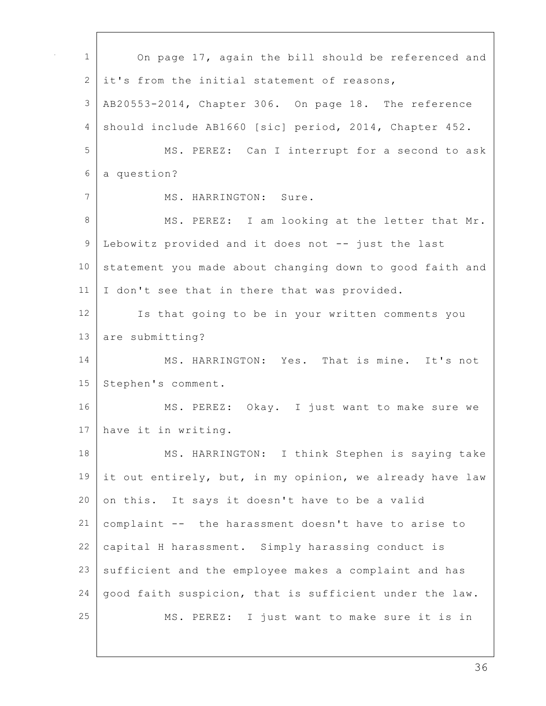| $\mathbf 1$     | On page 17, again the bill should be referenced and      |
|-----------------|----------------------------------------------------------|
| 2               | it's from the initial statement of reasons,              |
| $\mathcal{S}$   | AB20553-2014, Chapter 306. On page 18. The reference     |
| 4               | should include AB1660 [sic] period, 2014, Chapter 452.   |
| 5               | MS. PEREZ: Can I interrupt for a second to ask           |
| $\epsilon$      | a question?                                              |
| 7               | MS. HARRINGTON: Sure.                                    |
| 8               | MS. PEREZ: I am looking at the letter that Mr.           |
| $\mathsf 9$     | Lebowitz provided and it does not -- just the last       |
| 10              | statement you made about changing down to good faith and |
| 11              | I don't see that in there that was provided.             |
| 12 <sup>°</sup> | Is that going to be in your written comments you         |
| 13              | are submitting?                                          |
| 14              | MS. HARRINGTON: Yes. That is mine. It's not              |
| 15              | Stephen's comment.                                       |
| 16              | MS. PEREZ: Okay. I just want to make sure we             |
| 17              | have it in writing.                                      |
| 18              | MS. HARRINGTON: I think Stephen is saying take           |
| 19              | it out entirely, but, in my opinion, we already have law |
| 20              | on this. It says it doesn't have to be a valid           |
| 21              | complaint -- the harassment doesn't have to arise to     |
| 22              | capital H harassment. Simply harassing conduct is        |
| 23              | sufficient and the employee makes a complaint and has    |
| 24              | good faith suspicion, that is sufficient under the law.  |
| 25              | MS. PEREZ: I just want to make sure it is in             |

 $\Gamma$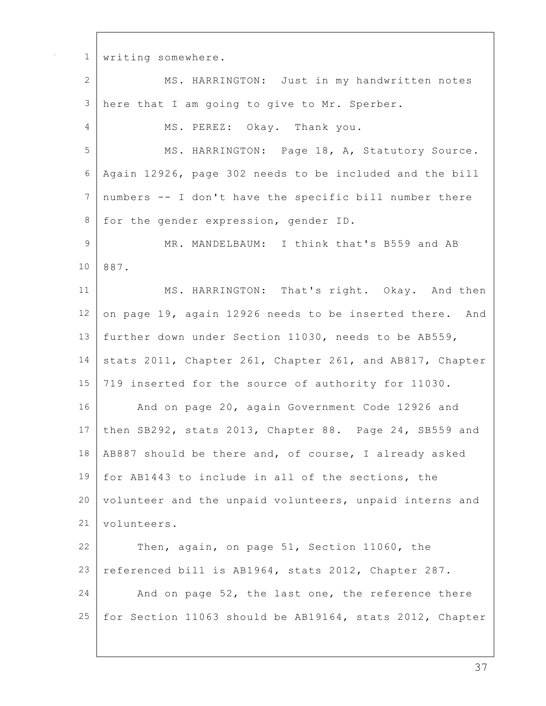writing somewhere. MS. HARRINGTON: Just in my handwritten notes here that I am going to give to Mr. Sperber. 4 MS. PEREZ: Okay. Thank you. MS. HARRINGTON: Page 18, A, Statutory Source. Again 12926, page 302 needs to be included and the bill numbers -- I don't have the specific bill number there 8 for the gender expression, gender ID. 9 MR. MANDELBAUM: I think that's B559 and AB 887. 11 | MS. HARRINGTON: That's right. Okay. And then 12 on page 19, again 12926 needs to be inserted there. And further down under Section 11030, needs to be AB559, 14 stats 2011, Chapter 261, Chapter 261, and AB817, Chapter 719 inserted for the source of authority for 11030. 16 | And on page 20, again Government Code 12926 and then SB292, stats 2013, Chapter 88. Page 24, SB559 and AB887 should be there and, of course, I already asked for AB1443 to include in all of the sections, the 20 volunteer and the unpaid volunteers, unpaid interns and 21 volunteers. Then, again, on page 51, Section 11060, the referenced bill is AB1964, stats 2012, Chapter 287. 24 And on page 52, the last one, the reference there for Section 11063 should be AB19164, stats 2012, Chapter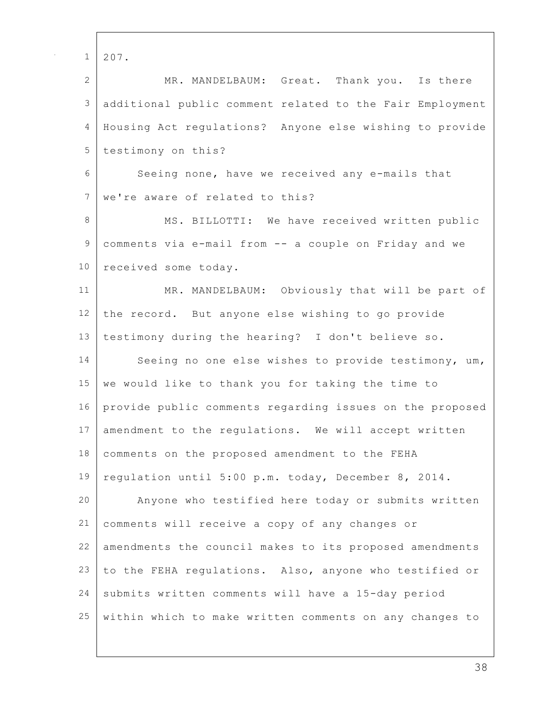| 207.                                                     |
|----------------------------------------------------------|
| MR. MANDELBAUM: Great. Thank you. Is there               |
| additional public comment related to the Fair Employment |
| Housing Act regulations? Anyone else wishing to provide  |
| testimony on this?                                       |
| Seeing none, have we received any e-mails that           |
| we're aware of related to this?                          |
| MS. BILLOTTI: We have received written public            |
| comments via e-mail from -- a couple on Friday and we    |
| received some today.                                     |
| MR. MANDELBAUM: Obviously that will be part of           |
| the record. But anyone else wishing to go provide        |
| testimony during the hearing? I don't believe so.        |
| Seeing no one else wishes to provide testimony, um,      |
| we would like to thank you for taking the time to        |
| provide public comments regarding issues on the proposed |
| amendment to the regulations. We will accept written     |
| comments on the proposed amendment to the FEHA           |
| regulation until 5:00 p.m. today, December 8, 2014.      |
| Anyone who testified here today or submits written       |
| comments will receive a copy of any changes or           |
| amendments the council makes to its proposed amendments  |
| to the FEHA regulations. Also, anyone who testified or   |
| submits written comments will have a 15-day period       |
| within which to make written comments on any changes to  |
|                                                          |

Г